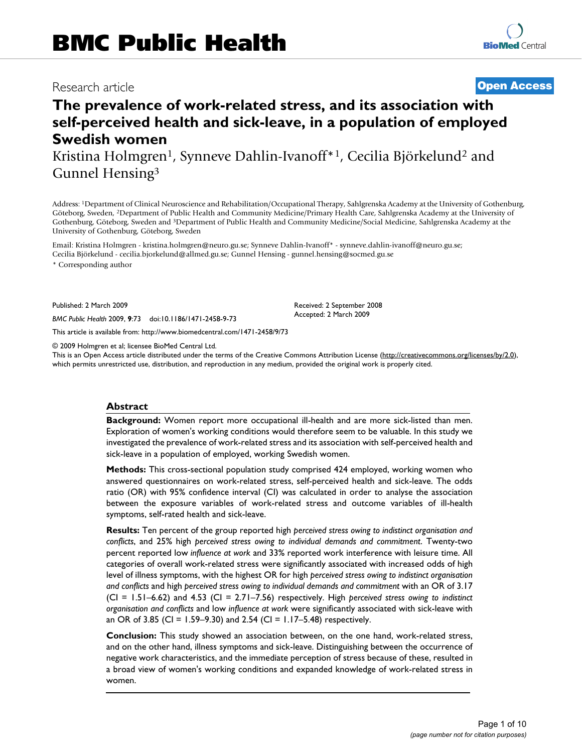# Research article **[Open Access](http://www.biomedcentral.com/info/about/charter/)**

# **The prevalence of work-related stress, and its association with self-perceived health and sick-leave, in a population of employed Swedish women** Kristina Holmgren<sup>1</sup>, Synneve Dahlin-Ivanoff<sup>\*1</sup>, Cecilia Björkelund<sup>2</sup> and

Gunnel Hensing3

Address: 1Department of Clinical Neuroscience and Rehabilitation/Occupational Therapy, Sahlgrenska Academy at the University of Gothenburg, Göteborg, Sweden, 2Department of Public Health and Community Medicine/Primary Health Care, Sahlgrenska Academy at the University of Gothenburg, Göteborg, Sweden and 3Department of Public Health and Community Medicine/Social Medicine, Sahlgrenska Academy at the University of Gothenburg, Göteborg, Sweden

Email: Kristina Holmgren - kristina.holmgren@neuro.gu.se; Synneve Dahlin-Ivanoff\* - synneve.dahlin-ivanoff@neuro.gu.se; Cecilia Björkelund - cecilia.bjorkelund@allmed.gu.se; Gunnel Hensing - gunnel.hensing@socmed.gu.se

\* Corresponding author

Published: 2 March 2009

*BMC Public Health* 2009, **9**:73 doi:10.1186/1471-2458-9-73

[This article is available from: http://www.biomedcentral.com/1471-2458/9/73](http://www.biomedcentral.com/1471-2458/9/73)

© 2009 Holmgren et al; licensee BioMed Central Ltd.

This is an Open Access article distributed under the terms of the Creative Commons Attribution License [\(http://creativecommons.org/licenses/by/2.0\)](http://creativecommons.org/licenses/by/2.0), which permits unrestricted use, distribution, and reproduction in any medium, provided the original work is properly cited.

Received: 2 September 2008 Accepted: 2 March 2009

# **Abstract**

**Background:** Women report more occupational ill-health and are more sick-listed than men. Exploration of women's working conditions would therefore seem to be valuable. In this study we investigated the prevalence of work-related stress and its association with self-perceived health and sick-leave in a population of employed, working Swedish women.

**Methods:** This cross-sectional population study comprised 424 employed, working women who answered questionnaires on work-related stress, self-perceived health and sick-leave. The odds ratio (OR) with 95% confidence interval (CI) was calculated in order to analyse the association between the exposure variables of work-related stress and outcome variables of ill-health symptoms, self-rated health and sick-leave.

**Results:** Ten percent of the group reported high *perceived stress owing to indistinct organisation and conflicts*, and 25% high *perceived stress owing to individual demands and commitment*. Twenty-two percent reported low *influence at work* and 33% reported work interference with leisure time. All categories of overall work-related stress were significantly associated with increased odds of high level of illness symptoms, with the highest OR for high *perceived stress owing to indistinct organisation and conflicts* and high *perceived stress owing to individual demands and commitment* with an OR of 3.17 (CI = 1.51–6.62) and 4.53 (CI = 2.71–7.56) respectively. High *perceived stress owing to indistinct organisation and conflicts* and low *influence at work* were significantly associated with sick-leave with an OR of 3.85 (CI = 1.59-9.30) and 2.54 (CI =  $1.17-5.48$ ) respectively.

**Conclusion:** This study showed an association between, on the one hand, work-related stress, and on the other hand, illness symptoms and sick-leave. Distinguishing between the occurrence of negative work characteristics, and the immediate perception of stress because of these, resulted in a broad view of women's working conditions and expanded knowledge of work-related stress in women.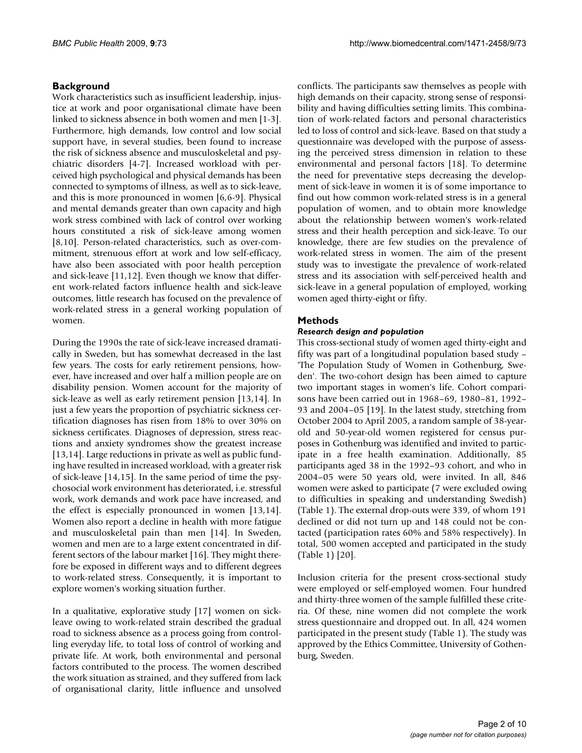# **Background**

Work characteristics such as insufficient leadership, injustice at work and poor organisational climate have been linked to sickness absence in both women and men [1-3]. Furthermore, high demands, low control and low social support have, in several studies, been found to increase the risk of sickness absence and musculoskeletal and psychiatric disorders [4-7]. Increased workload with perceived high psychological and physical demands has been connected to symptoms of illness, as well as to sick-leave, and this is more pronounced in women [6,6-9]. Physical and mental demands greater than own capacity and high work stress combined with lack of control over working hours constituted a risk of sick-leave among women [8,10]. Person-related characteristics, such as over-commitment, strenuous effort at work and low self-efficacy, have also been associated with poor health perception and sick-leave [11,12]. Even though we know that different work-related factors influence health and sick-leave outcomes, little research has focused on the prevalence of work-related stress in a general working population of women.

During the 1990s the rate of sick-leave increased dramatically in Sweden, but has somewhat decreased in the last few years. The costs for early retirement pensions, however, have increased and over half a million people are on disability pension. Women account for the majority of sick-leave as well as early retirement pension [13,14]. In just a few years the proportion of psychiatric sickness certification diagnoses has risen from 18% to over 30% on sickness certificates. Diagnoses of depression, stress reactions and anxiety syndromes show the greatest increase [13,14]. Large reductions in private as well as public funding have resulted in increased workload, with a greater risk of sick-leave [14,15]. In the same period of time the psychosocial work environment has deteriorated, i.e. stressful work, work demands and work pace have increased, and the effect is especially pronounced in women [13,14]. Women also report a decline in health with more fatigue and musculoskeletal pain than men [14]. In Sweden, women and men are to a large extent concentrated in different sectors of the labour market [16]. They might therefore be exposed in different ways and to different degrees to work-related stress. Consequently, it is important to explore women's working situation further.

In a qualitative, explorative study [17] women on sickleave owing to work-related strain described the gradual road to sickness absence as a process going from controlling everyday life, to total loss of control of working and private life. At work, both environmental and personal factors contributed to the process. The women described the work situation as strained, and they suffered from lack of organisational clarity, little influence and unsolved

conflicts. The participants saw themselves as people with high demands on their capacity, strong sense of responsibility and having difficulties setting limits. This combination of work-related factors and personal characteristics led to loss of control and sick-leave. Based on that study a questionnaire was developed with the purpose of assessing the perceived stress dimension in relation to these environmental and personal factors [18]. To determine the need for preventative steps decreasing the development of sick-leave in women it is of some importance to find out how common work-related stress is in a general population of women, and to obtain more knowledge about the relationship between women's work-related stress and their health perception and sick-leave. To our knowledge, there are few studies on the prevalence of work-related stress in women. The aim of the present study was to investigate the prevalence of work-related stress and its association with self-perceived health and sick-leave in a general population of employed, working women aged thirty-eight or fifty.

# **Methods**

# *Research design and population*

This cross-sectional study of women aged thirty-eight and fifty was part of a longitudinal population based study – 'The Population Study of Women in Gothenburg, Sweden'. The two-cohort design has been aimed to capture two important stages in women's life. Cohort comparisons have been carried out in 1968–69, 1980–81, 1992– 93 and 2004–05 [19]. In the latest study, stretching from October 2004 to April 2005, a random sample of 38-yearold and 50-year-old women registered for census purposes in Gothenburg was identified and invited to participate in a free health examination. Additionally, 85 participants aged 38 in the 1992–93 cohort, and who in 2004–05 were 50 years old, were invited. In all, 846 women were asked to participate (7 were excluded owing to difficulties in speaking and understanding Swedish) (Table 1). The external drop-outs were 339, of whom 191 declined or did not turn up and 148 could not be contacted (participation rates 60% and 58% respectively). In total, 500 women accepted and participated in the study (Table 1) [20].

Inclusion criteria for the present cross-sectional study were employed or self-employed women. Four hundred and thirty-three women of the sample fulfilled these criteria. Of these, nine women did not complete the work stress questionnaire and dropped out. In all, 424 women participated in the present study (Table 1). The study was approved by the Ethics Committee, University of Gothenburg, Sweden.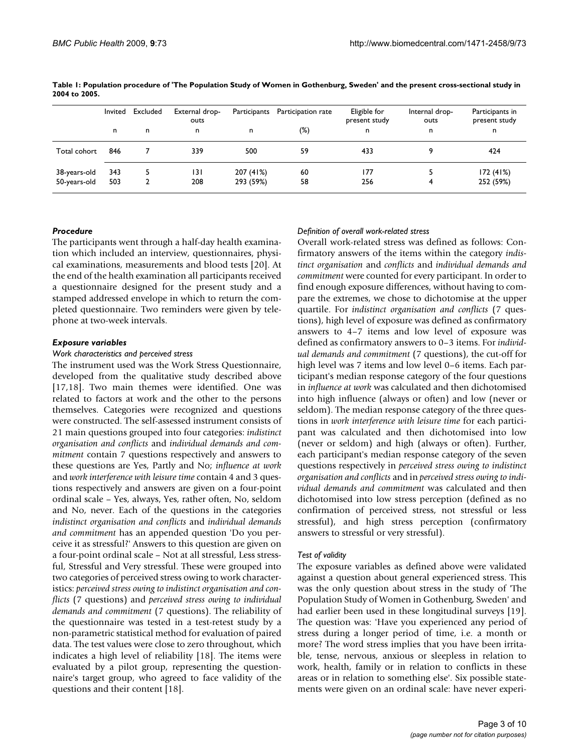|              | Invited | Excluded | External drop-<br>outs | Participants | Participation rate | Eligible for<br>present study | Internal drop-<br>outs | Participants in<br>present study |
|--------------|---------|----------|------------------------|--------------|--------------------|-------------------------------|------------------------|----------------------------------|
|              | n       | n        | n.                     | n            | $(\%)$             | n                             | n                      | n                                |
| Total cohort | 846     |          | 339                    | 500          | 59                 | 433                           |                        | 424                              |
| 38-years-old | 343     |          | 131                    | 207 (41%)    | 60                 | 177                           |                        | 172(41%)                         |
| 50-years-old | 503     |          | 208                    | 293 (59%)    | 58                 | 256                           | 4                      | 252 (59%)                        |

**Table 1: Population procedure of 'The Population Study of Women in Gothenburg, Sweden' and the present cross-sectional study in 2004 to 2005.**

#### *Procedure*

The participants went through a half-day health examination which included an interview, questionnaires, physical examinations, measurements and blood tests [20]. At the end of the health examination all participants received a questionnaire designed for the present study and a stamped addressed envelope in which to return the completed questionnaire. Two reminders were given by telephone at two-week intervals.

#### *Exposure variables*

#### *Work characteristics and perceived stress*

The instrument used was the Work Stress Questionnaire, developed from the qualitative study described above [17,18]. Two main themes were identified. One was related to factors at work and the other to the persons themselves. Categories were recognized and questions were constructed. The self-assessed instrument consists of 21 main questions grouped into four categories: *indistinct organisation and conflicts* and *individual demands and commitment* contain 7 questions respectively and answers to these questions are Yes, Partly and No; *influence at work* and *work interference with leisure time* contain 4 and 3 questions respectively and answers are given on a four-point ordinal scale – Yes, always, Yes, rather often, No, seldom and No, never. Each of the questions in the categories *indistinct organisation and conflicts* and *individual demands and commitment* has an appended question 'Do you perceive it as stressful?' Answers to this question are given on a four-point ordinal scale – Not at all stressful, Less stressful, Stressful and Very stressful. These were grouped into two categories of perceived stress owing to work characteristics: *perceived stress owing to indistinct organisation and conflicts* (7 questions) and *perceived stress owing to individual demands and commitment* (7 questions). The reliability of the questionnaire was tested in a test-retest study by a non-parametric statistical method for evaluation of paired data. The test values were close to zero throughout, which indicates a high level of reliability [18]. The items were evaluated by a pilot group, representing the questionnaire's target group, who agreed to face validity of the questions and their content [18].

#### *Definition of overall work-related stress*

Overall work-related stress was defined as follows: Confirmatory answers of the items within the category *indistinct organisation* and *conflicts* and *individual demands and commitment* were counted for every participant. In order to find enough exposure differences, without having to compare the extremes, we chose to dichotomise at the upper quartile. For *indistinct organisation and conflicts* (7 questions), high level of exposure was defined as confirmatory answers to 4–7 items and low level of exposure was defined as confirmatory answers to 0–3 items. For *individual demands and commitment* (7 questions), the cut-off for high level was 7 items and low level 0-6 items. Each participant's median response category of the four questions in *influence at work* was calculated and then dichotomised into high influence (always or often) and low (never or seldom). The median response category of the three questions in *work interference with leisure time* for each participant was calculated and then dichotomised into low (never or seldom) and high (always or often). Further, each participant's median response category of the seven questions respectively in *perceived stress owing to indistinct organisation and conflicts* and in *perceived stress owing to individual demands and commitment* was calculated and then dichotomised into low stress perception (defined as no confirmation of perceived stress, not stressful or less stressful), and high stress perception (confirmatory answers to stressful or very stressful).

#### *Test of validity*

The exposure variables as defined above were validated against a question about general experienced stress. This was the only question about stress in the study of 'The Population Study of Women in Gothenburg, Sweden' and had earlier been used in these longitudinal surveys [19]. The question was: 'Have you experienced any period of stress during a longer period of time, i.e. a month or more? The word stress implies that you have been irritable, tense, nervous, anxious or sleepless in relation to work, health, family or in relation to conflicts in these areas or in relation to something else'. Six possible statements were given on an ordinal scale: have never experi-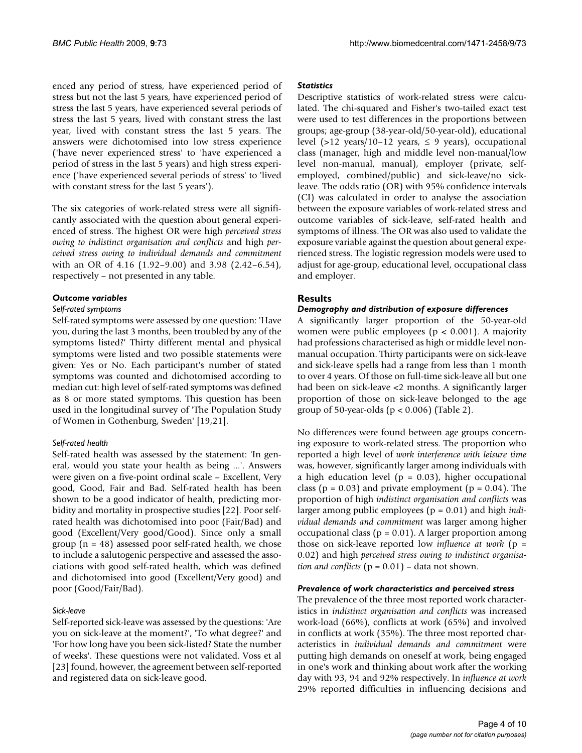enced any period of stress, have experienced period of stress but not the last 5 years, have experienced period of stress the last 5 years, have experienced several periods of stress the last 5 years, lived with constant stress the last year, lived with constant stress the last 5 years. The answers were dichotomised into low stress experience ('have never experienced stress' to 'have experienced a period of stress in the last 5 years) and high stress experience ('have experienced several periods of stress' to 'lived with constant stress for the last 5 years').

The six categories of work-related stress were all significantly associated with the question about general experienced of stress. The highest OR were high *perceived stress owing to indistinct organisation and conflicts* and high *perceived stress owing to individual demands and commitment* with an OR of 4.16 (1.92–9.00) and 3.98 (2.42–6.54), respectively – not presented in any table.

# *Outcome variables*

# *Self-rated symptoms*

Self-rated symptoms were assessed by one question: 'Have you, during the last 3 months, been troubled by any of the symptoms listed?' Thirty different mental and physical symptoms were listed and two possible statements were given: Yes or No. Each participant's number of stated symptoms was counted and dichotomised according to median cut: high level of self-rated symptoms was defined as 8 or more stated symptoms. This question has been used in the longitudinal survey of 'The Population Study of Women in Gothenburg, Sweden' [19,21].

# *Self-rated health*

Self-rated health was assessed by the statement: 'In general, would you state your health as being ...'. Answers were given on a five-point ordinal scale – Excellent, Very good, Good, Fair and Bad. Self-rated health has been shown to be a good indicator of health, predicting morbidity and mortality in prospective studies [22]. Poor selfrated health was dichotomised into poor (Fair/Bad) and good (Excellent/Very good/Good). Since only a small group ( $n = 48$ ) assessed poor self-rated health, we chose to include a salutogenic perspective and assessed the associations with good self-rated health, which was defined and dichotomised into good (Excellent/Very good) and poor (Good/Fair/Bad).

# *Sick-leave*

Self-reported sick-leave was assessed by the questions: 'Are you on sick-leave at the moment?', 'To what degree?' and 'For how long have you been sick-listed? State the number of weeks'. These questions were not validated. Voss et al [23] found, however, the agreement between self-reported and registered data on sick-leave good.

# *Statistics*

Descriptive statistics of work-related stress were calculated. The chi-squared and Fisher's two-tailed exact test were used to test differences in the proportions between groups; age-group (38-year-old/50-year-old), educational level  $(>12 \text{ years}/10-12 \text{ years})$   $\leq 9 \text{ years}$ , occupational class (manager, high and middle level non-manual/low level non-manual, manual), employer (private, selfemployed, combined/public) and sick-leave/no sickleave. The odds ratio (OR) with 95% confidence intervals (CI) was calculated in order to analyse the association between the exposure variables of work-related stress and outcome variables of sick-leave, self-rated health and symptoms of illness. The OR was also used to validate the exposure variable against the question about general experienced stress. The logistic regression models were used to adjust for age-group, educational level, occupational class and employer.

# **Results**

# *Demography and distribution of exposure differences*

A significantly larger proportion of the 50-year-old women were public employees ( $p < 0.001$ ). A majority had professions characterised as high or middle level nonmanual occupation. Thirty participants were on sick-leave and sick-leave spells had a range from less than 1 month to over 4 years. Of those on full-time sick-leave all but one had been on sick-leave <2 months. A significantly larger proportion of those on sick-leave belonged to the age group of 50-year-olds ( $p < 0.006$ ) (Table 2).

No differences were found between age groups concerning exposure to work-related stress. The proportion who reported a high level of *work interference with leisure time* was, however, significantly larger among individuals with a high education level ( $p = 0.03$ ), higher occupational class ( $p = 0.03$ ) and private employment ( $p = 0.04$ ). The proportion of high *indistinct organisation and conflicts* was larger among public employees (p = 0.01) and high *individual demands and commitment* was larger among higher occupational class ( $p = 0.01$ ). A larger proportion among those on sick-leave reported low *influence at work* (p = 0.02) and high *perceived stress owing to indistinct organisation and conflicts* (p = 0.01) – data not shown.

# *Prevalence of work characteristics and perceived stress*

The prevalence of the three most reported work characteristics in *indistinct organisation and conflicts* was increased work-load (66%), conflicts at work (65%) and involved in conflicts at work (35%). The three most reported characteristics in *individual demands and commitment* were putting high demands on oneself at work, being engaged in one's work and thinking about work after the working day with 93, 94 and 92% respectively. In *influence at work* 29% reported difficulties in influencing decisions and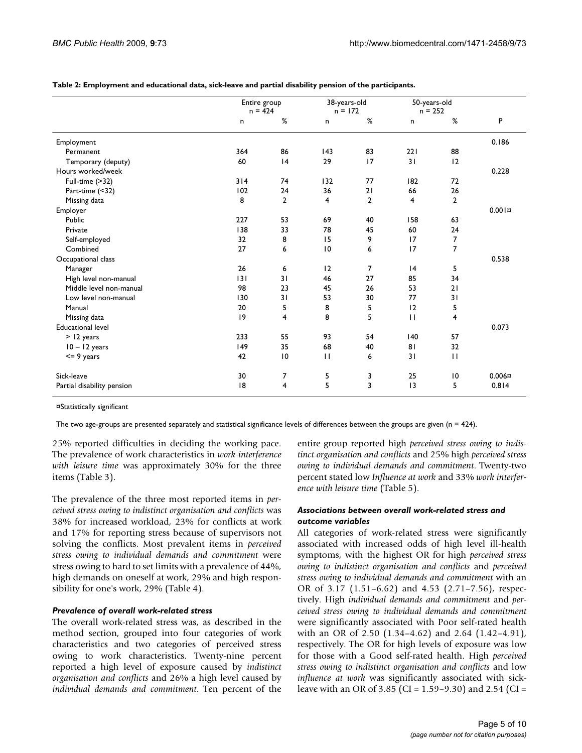| Table 2: Employment and educational data, sick-leave and partial disability pension of the participants. |
|----------------------------------------------------------------------------------------------------------|
|                                                                                                          |

|                            | Entire group<br>$n = 424$ |                | 38-years-old<br>$n = 172$ |                | 50-years-old<br>$n = 252$ |                 |            |
|----------------------------|---------------------------|----------------|---------------------------|----------------|---------------------------|-----------------|------------|
|                            | n                         | %              | n                         | %              | n                         | %               | P          |
| Employment                 |                           |                |                           |                |                           |                 | 0.186      |
| Permanent                  | 364                       | 86             | 143                       | 83             | 221                       | 88              |            |
| Temporary (deputy)         | 60                        | 4              | 29                        | 17             | 31                        | 12              |            |
| Hours worked/week          |                           |                |                           |                |                           |                 | 0.228      |
| Full-time (>32)            | 314                       | 74             | 132                       | 77             | 182                       | 72              |            |
| Part-time (<32)            | 102                       | 24             | 36                        | 21             | 66                        | 26              |            |
| Missing data               | 8                         | $\overline{2}$ | $\overline{4}$            | $\overline{2}$ | 4                         | $\overline{2}$  |            |
| Employer                   |                           |                |                           |                |                           |                 | 0.001n     |
| Public                     | 227                       | 53             | 69                        | 40             | 158                       | 63              |            |
| Private                    | 138                       | 33             | 78                        | 45             | 60                        | 24              |            |
| Self-employed              | 32                        | 8              | 15                        | 9              | 17                        | 7               |            |
| Combined                   | 27                        | 6              | 10                        | 6              | 17                        | $\overline{7}$  |            |
| Occupational class         |                           |                |                           |                |                           |                 | 0.538      |
| Manager                    | 26                        | 6              | 12                        | 7              | 4                         | 5               |            |
| High level non-manual      | 131                       | 31             | 46                        | 27             | 85                        | 34              |            |
| Middle level non-manual    | 98                        | 23             | 45                        | 26             | 53                        | 21              |            |
| Low level non-manual       | 130                       | 31             | 53                        | 30             | 77                        | 31              |            |
| Manual                     | 20                        | 5              | 8                         | 5              | 12                        | 5               |            |
| Missing data               | 19                        | $\overline{4}$ | 8                         | 5              | $\mathbf{H}$              | $\overline{4}$  |            |
| <b>Educational level</b>   |                           |                |                           |                |                           |                 | 0.073      |
| > 12 years                 | 233                       | 55             | 93                        | 54             | 140                       | 57              |            |
| $10 - 12$ years            | 149                       | 35             | 68                        | 40             | 81                        | 32              |            |
| $<= 9$ years               | 42                        | 10             | $\mathbf{H}$              | 6              | 31                        | $\mathbf{H}$    |            |
| Sick-leave                 | 30                        | 7              | 5                         | 3              | 25                        | $\overline{10}$ | $0.006\pi$ |
| Partial disability pension | 8                         | 4              | 5                         | 3              | 3                         | 5               | 0.814      |

¤Statistically significant

The two age-groups are presented separately and statistical significance levels of differences between the groups are given (n = 424).

25% reported difficulties in deciding the working pace. The prevalence of work characteristics in *work interference with leisure time* was approximately 30% for the three items (Table 3).

The prevalence of the three most reported items in *perceived stress owing to indistinct organisation and conflicts* was 38% for increased workload, 23% for conflicts at work and 17% for reporting stress because of supervisors not solving the conflicts. Most prevalent items in *perceived stress owing to individual demands and commitment* were stress owing to hard to set limits with a prevalence of 44%, high demands on oneself at work, 29% and high responsibility for one's work, 29% (Table 4).

# *Prevalence of overall work-related stress*

The overall work-related stress was, as described in the method section, grouped into four categories of work characteristics and two categories of perceived stress owing to work characteristics. Twenty-nine percent reported a high level of exposure caused by *indistinct organisation and conflicts* and 26% a high level caused by *individual demands and commitment*. Ten percent of the entire group reported high *perceived stress owing to indistinct organisation and conflicts* and 25% high *perceived stress owing to individual demands and commitment*. Twenty-two percent stated low *Influence at work* and 33% *work interference with leisure time* (Table 5).

# *Associations between overall work-related stress and outcome variables*

All categories of work-related stress were significantly associated with increased odds of high level ill-health symptoms, with the highest OR for high *perceived stress owing to indistinct organisation and conflicts* and *perceived stress owing to individual demands and commitment* with an OR of 3.17 (1.51–6.62) and 4.53 (2.71–7.56), respectively. High *individual demands and commitment* and *perceived stress owing to individual demands and commitment* were significantly associated with Poor self-rated health with an OR of 2.50 (1.34–4.62) and 2.64 (1.42–4.91), respectively. The OR for high levels of exposure was low for those with a Good self-rated health. High *perceived stress owing to indistinct organisation and conflicts* and low *influence at work* was significantly associated with sickleave with an OR of 3.85 (CI = 1.59–9.30) and 2.54 (CI =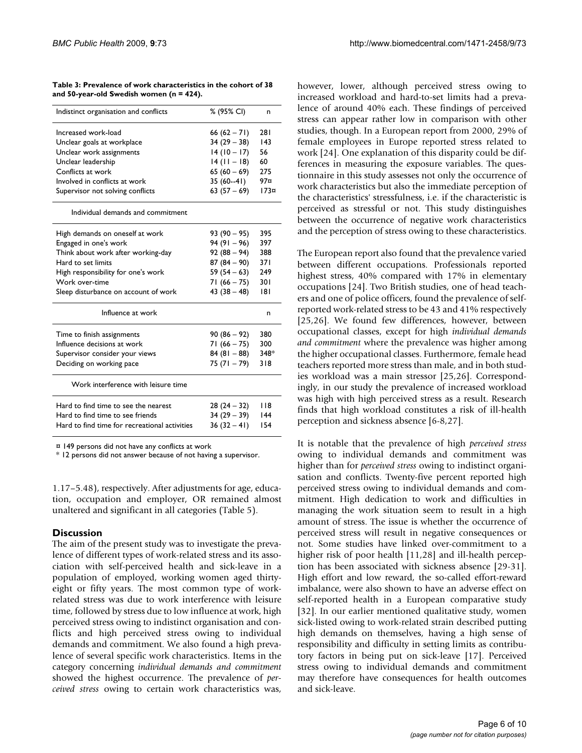**Table 3: Prevalence of work characteristics in the cohort of 38 and 50-year-old Swedish women (n = 424).**

| Indistinct organisation and conflicts         | % (95% CI)     | n               |
|-----------------------------------------------|----------------|-----------------|
| Increased work-load                           | 66 $(62 - 71)$ | 281             |
| Unclear goals at workplace                    | $34(29-38)$    | 143             |
| Unclear work assignments                      | $14(10 - 17)$  | 56              |
| Unclear leadership                            | $14(11 - 18)$  | 60              |
| Conflicts at work                             | $65(60-69)$    | 275             |
| Involved in conflicts at work                 | 35 (60--41)    | 97 <sub>π</sub> |
| Supervisor not solving conflicts              | $63(57-69)$    | 173¤            |
| Individual demands and commitment             |                |                 |
| High demands on oneself at work               | $93(90-95)$    | 395             |
| Engaged in one's work                         | $94(91-96)$    | 397             |
| Think about work after working-day            | 92 (88 – 94)   | 388             |
| Hard to set limits                            | $87(84-90)$    | 371             |
| High responsibility for one's work            | $59(54-63)$    | 249             |
| Work over-time                                | $71(66 - 75)$  | 301             |
| Sleep disturbance on account of work          | $43(38-48)$    | 181             |
| Influence at work                             |                | n               |
| Time to finish assignments                    | $90(86-92)$    | 380             |
| Influence decisions at work                   | $71(66 - 75)$  | 300             |
| Supervisor consider your views                | $84(81-88)$    | $348*$          |
| Deciding on working pace                      | $75(71 - 79)$  | 318             |
| Work interference with leisure time           |                |                 |
| Hard to find time to see the nearest          | $28(24-32)$    | 118             |
| Hard to find time to see friends              | $34(29-39)$    | 44              |
| Hard to find time for recreational activities | $36(32-41)$    | 154             |

¤ 149 persons did not have any conflicts at work

\* 12 persons did not answer because of not having a supervisor.

1.17–5.48), respectively. After adjustments for age, education, occupation and employer, OR remained almost unaltered and significant in all categories (Table 5).

# **Discussion**

The aim of the present study was to investigate the prevalence of different types of work-related stress and its association with self-perceived health and sick-leave in a population of employed, working women aged thirtyeight or fifty years. The most common type of workrelated stress was due to work interference with leisure time, followed by stress due to low influence at work, high perceived stress owing to indistinct organisation and conflicts and high perceived stress owing to individual demands and commitment. We also found a high prevalence of several specific work characteristics. Items in the category concerning *individual demands and commitment* showed the highest occurrence. The prevalence of *perceived stress* owing to certain work characteristics was,

however, lower, although perceived stress owing to increased workload and hard-to-set limits had a prevalence of around 40% each. These findings of perceived stress can appear rather low in comparison with other studies, though. In a European report from 2000, 29% of female employees in Europe reported stress related to work [24]. One explanation of this disparity could be differences in measuring the exposure variables. The questionnaire in this study assesses not only the occurrence of work characteristics but also the immediate perception of the characteristics' stressfulness, i.e. if the characteristic is perceived as stressful or not. This study distinguishes between the occurrence of negative work characteristics and the perception of stress owing to these characteristics.

The European report also found that the prevalence varied between different occupations. Professionals reported highest stress, 40% compared with 17% in elementary occupations [24]. Two British studies, one of head teachers and one of police officers, found the prevalence of selfreported work-related stress to be 43 and 41% respectively [25,26]. We found few differences, however, between occupational classes, except for high *individual demands and commitment* where the prevalence was higher among the higher occupational classes. Furthermore, female head teachers reported more stress than male, and in both studies workload was a main stressor [25,26]. Correspondingly, in our study the prevalence of increased workload was high with high perceived stress as a result. Research finds that high workload constitutes a risk of ill-health perception and sickness absence [6-8,27].

It is notable that the prevalence of high *perceived stress* owing to individual demands and commitment was higher than for *perceived stress* owing to indistinct organisation and conflicts. Twenty-five percent reported high perceived stress owing to individual demands and commitment. High dedication to work and difficulties in managing the work situation seem to result in a high amount of stress. The issue is whether the occurrence of perceived stress will result in negative consequences or not. Some studies have linked over-commitment to a higher risk of poor health [11,28] and ill-health perception has been associated with sickness absence [29-31]. High effort and low reward, the so-called effort-reward imbalance, were also shown to have an adverse effect on self-reported health in a European comparative study [32]. In our earlier mentioned qualitative study, women sick-listed owing to work-related strain described putting high demands on themselves, having a high sense of responsibility and difficulty in setting limits as contributory factors in being put on sick-leave [17]. Perceived stress owing to individual demands and commitment may therefore have consequences for health outcomes and sick-leave.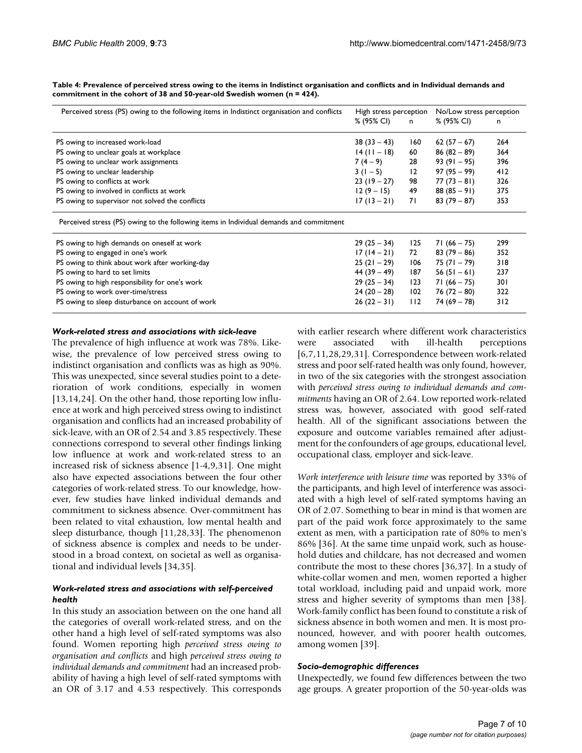| Perceived stress (PS) owing to the following items in Indistinct organisation and conflicts | High stress perception |     | No/Low stress perception |     |
|---------------------------------------------------------------------------------------------|------------------------|-----|--------------------------|-----|
|                                                                                             | % (95% CI)             | n   | % (95% CI)               | n   |
| PS owing to increased work-load                                                             | $38(33-43)$            | 160 | $62(57-67)$              | 264 |
| PS owing to unclear goals at workplace                                                      | $14 (11 - 18)$         | 60  | $86(82-89)$              | 364 |
| PS owing to unclear work assignments                                                        | $7(4-9)$               | 28  | $93(91-95)$              | 396 |
| PS owing to unclear leadership                                                              | $3(1-5)$               | 12  | $97(95-99)$              | 412 |
| PS owing to conflicts at work                                                               | $23(19-27)$            | 98  | $77(73-81)$              | 326 |
| PS owing to involved in conflicts at work                                                   | $12(9 - 15)$           | 49  | $88(85-91)$              | 375 |
| PS owing to supervisor not solved the conflicts                                             | $17(13 - 21)$          | 71  | $83(79-87)$              | 353 |
| Perceived stress (PS) owing to the following items in Individual demands and commitment     |                        |     |                          |     |
| PS owing to high demands on oneself at work                                                 | $29(25-34)$            | 125 | $71(66 - 75)$            | 299 |
| PS owing to engaged in one's work                                                           | $17(14-21)$            | 72  | $83(79-86)$              | 352 |
| PS owing to think about work after working-day                                              | $25(21-29)$            | 106 | $75(71 - 79)$            | 318 |
| PS owing to hard to set limits                                                              | $44(39-49)$            | 187 | $56(51-61)$              | 237 |
| PS owing to high responsibility for one's work                                              | $29(25 - 34)$          | 123 | $71(66 - 75)$            | 301 |
| PS owing to work over-time/stress                                                           | $24(20-28)$            | 102 | $76(72 - 80)$            | 322 |
| PS owing to sleep disturbance on account of work                                            | $26(22-31)$            | 112 | $74(69 - 78)$            | 312 |

**Table 4: Prevalence of perceived stress owing to the items in Indistinct organisation and conflicts and in Individual demands and commitment in the cohort of 38 and 50-year-old Swedish women (n = 424).**

*Work-related stress and associations with sick-leave*

The prevalence of high influence at work was 78%. Likewise, the prevalence of low perceived stress owing to indistinct organisation and conflicts was as high as 90%. This was unexpected, since several studies point to a deterioration of work conditions, especially in women [13,14,24]. On the other hand, those reporting low influence at work and high perceived stress owing to indistinct organisation and conflicts had an increased probability of sick-leave, with an OR of 2.54 and 3.85 respectively. These connections correspond to several other findings linking low influence at work and work-related stress to an increased risk of sickness absence [1-4,9,31]. One might also have expected associations between the four other categories of work-related stress. To our knowledge, however, few studies have linked individual demands and commitment to sickness absence. Over-commitment has been related to vital exhaustion, low mental health and sleep disturbance, though [11,28,33]. The phenomenon of sickness absence is complex and needs to be understood in a broad context, on societal as well as organisational and individual levels [34,35].

# *Work-related stress and associations with self-perceived health*

In this study an association between on the one hand all the categories of overall work-related stress, and on the other hand a high level of self-rated symptoms was also found. Women reporting high *perceived stress owing to organisation and conflicts* and high *perceived stress owing to individual demands and commitment* had an increased probability of having a high level of self-rated symptoms with an OR of 3.17 and 4.53 respectively. This corresponds

with earlier research where different work characteristics were associated with ill-health perceptions [6,7,11,28,29,31]. Correspondence between work-related stress and poor self-rated health was only found, however, in two of the six categories with the strongest association with *perceived stress owing to individual demands and commitments* having an OR of 2.64. Low reported work-related stress was, however, associated with good self-rated health. All of the significant associations between the exposure and outcome variables remained after adjustment for the confounders of age groups, educational level, occupational class, employer and sick-leave.

*Work interference with leisure time* was reported by 33% of the participants, and high level of interference was associated with a high level of self-rated symptoms having an OR of 2.07. Something to bear in mind is that women are part of the paid work force approximately to the same extent as men, with a participation rate of 80% to men's 86% [36]. At the same time unpaid work, such as household duties and childcare, has not decreased and women contribute the most to these chores [36,37]. In a study of white-collar women and men, women reported a higher total workload, including paid and unpaid work, more stress and higher severity of symptoms than men [38]. Work-family conflict has been found to constitute a risk of sickness absence in both women and men. It is most pronounced, however, and with poorer health outcomes, among women [39].

# *Socio-demographic differences*

Unexpectedly, we found few differences between the two age groups. A greater proportion of the 50-year-olds was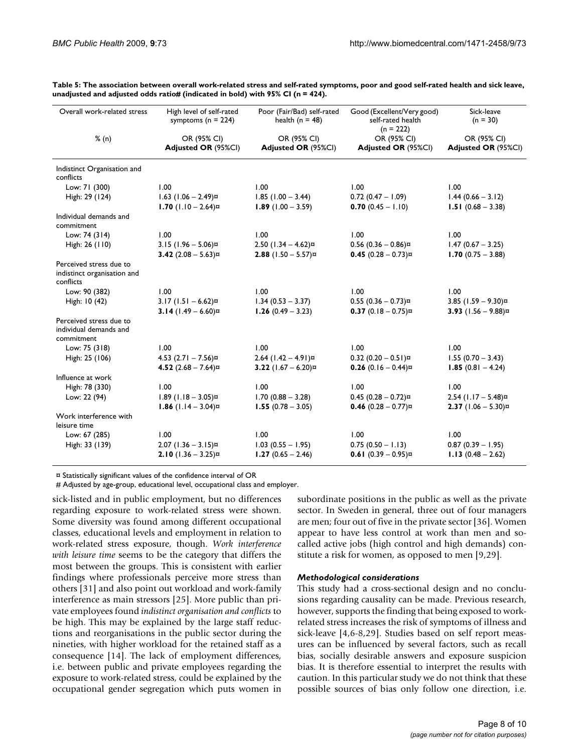| Overall work-related stress                                         | High level of self-rated<br>symptoms ( $n = 224$ )          | Poor (Fair/Bad) self-rated<br>health ( $n = 48$ )                | Good (Excellent/Very good)<br>self-rated health<br>$(n = 222)$     | Sick-leave<br>$(n = 30)$<br>OR (95% CI)<br>Adjusted OR (95%Cl) |  |
|---------------------------------------------------------------------|-------------------------------------------------------------|------------------------------------------------------------------|--------------------------------------------------------------------|----------------------------------------------------------------|--|
| % (n)                                                               | OR (95% CI)<br>Adjusted OR (95%Cl)                          | OR (95% CI)<br>Adjusted OR (95%Cl)                               | OR (95% CI)<br>Adjusted OR (95%CI)                                 |                                                                |  |
| Indistinct Organisation and<br>conflicts                            |                                                             |                                                                  |                                                                    |                                                                |  |
| Low: 71 (300)                                                       | 1.00                                                        | 1.00                                                             | 1.00                                                               | 1.00                                                           |  |
| High: 29 (124)                                                      | $1.63$ (1.06 - 2.49) $\pi$<br>$1.70$ (1.10 - 2.64) $\alpha$ | $1.85$ (1.00 - 3.44)<br>$1.89(1.00 - 3.59)$                      | $0.72$ (0.47 - 1.09)<br>$0.70(0.45 - 1.10)$                        | $1.44(0.66 - 3.12)$<br>$1.51(0.68 - 3.38)$                     |  |
| Individual demands and<br>commitment                                |                                                             |                                                                  |                                                                    |                                                                |  |
| Low: 74 (314)                                                       | 1.00                                                        | 1.00                                                             | 1.00                                                               | 1.00                                                           |  |
| High: 26 (110)                                                      | $3.15(1.96 - 5.06)x$<br>3.42 $(2.08 - 5.63)x$               | $2.50$ (1.34 – 4.62) $\alpha$<br>$2.88$ (1.50 - 5.57) $\text{m}$ | $0.56$ (0.36 - 0.86) $\text{m}$<br>$0.45$ (0.28 - 0.73) $\text{m}$ | $1.47(0.67 - 3.25)$<br>$1.70(0.75 - 3.88)$                     |  |
| Perceived stress due to<br>indistinct organisation and<br>conflicts |                                                             |                                                                  |                                                                    |                                                                |  |
| Low: 90 (382)                                                       | 1.00                                                        | 1.00                                                             | 1.00                                                               | 1.00                                                           |  |
| High: 10 (42)                                                       | $3.17(1.51 - 6.62)\pi$                                      | $1.34(0.53 - 3.37)$                                              | $0.55(0.36-0.73)x$                                                 | 3.85 $(1.59 - 9.30)x$                                          |  |
|                                                                     | 3.14 $(1.49 - 6.60)x$                                       | $1.26$ (0.49 – 3.23)                                             | $0.37(0.18-0.75)x$                                                 | 3.93 $(1.56 - 9.88)x$                                          |  |
| Perceived stress due to<br>individual demands and<br>commitment     |                                                             |                                                                  |                                                                    |                                                                |  |
| Low: 75 (318)                                                       | 1.00                                                        | 1.00                                                             | 1.00                                                               | 1.00                                                           |  |
| High: 25 (106)                                                      | $4.53$ (2.71 - 7.56) $\text{m}$                             | $2.64$ (1.42 - 4.91) $\alpha$                                    | $0.32$ (0.20 - 0.51) $\text{m}$                                    | $1.55(0.70 - 3.43)$                                            |  |
|                                                                     | 4.52 $(2.68 - 7.64)$ ¤                                      | 3.22 $(1.67 - 6.20)x$                                            | $0.26$ (0.16 - 0.44) $\,\mathrm{m}$                                | $1.85(0.81 - 4.24)$                                            |  |
| Influence at work                                                   |                                                             |                                                                  |                                                                    |                                                                |  |
| High: 78 (330)                                                      | 1.00                                                        | 1.00                                                             | 1.00                                                               | 1.00                                                           |  |
| Low: 22 (94)                                                        | $1.89$ (1.18 - 3.05) $\text{m}$                             | $1.70(0.88 - 3.28)$                                              | $0.45$ (0.28 - 0.72) $\text{m}$                                    | $2.54$ (1.17 - 5.48) $\alpha$                                  |  |
|                                                                     | $1.86$ (1.14 - 3.04) $\text{m}$                             | $1.55(0.78 - 3.05)$                                              | $0.46$ (0.28 - 0.77) $\text{m}$                                    | $2.37$ (1.06 - 5.30) $\text{m}$                                |  |
| Work interference with<br>leisure time                              |                                                             |                                                                  |                                                                    |                                                                |  |
| Low: 67 (285)                                                       | 1.00                                                        | 1.00                                                             | 1.00                                                               | 1.00                                                           |  |
| High: 33 (139)                                                      | $2.07(1.36 - 3.15)x$                                        | $1.03$ (0.55 - 1.95)                                             | $0.75(0.50 - 1.13)$                                                | $0.87(0.39 - 1.95)$                                            |  |
|                                                                     | 2.10 $(1.36 - 3.25)x$                                       | $1.27(0.65 - 2.46)$                                              | 0.61 $(0.39 - 0.95)x$                                              | $1.13(0.48 - 2.62)$                                            |  |

**Table 5: The association between overall work-related stress and self-rated symptoms, poor and good self-rated health and sick leave,**  unadjusted and adjusted odds ratio# (indicated in bold) with 95% CI (n = 424).

¤ Statistically significant values of the confidence interval of OR

# Adjusted by age-group, educational level, occupational class and employer.

sick-listed and in public employment, but no differences regarding exposure to work-related stress were shown. Some diversity was found among different occupational classes, educational levels and employment in relation to work-related stress exposure, though. *Work interference with leisure time* seems to be the category that differs the most between the groups. This is consistent with earlier findings where professionals perceive more stress than others [31] and also point out workload and work-family interference as main stressors [25]. More public than private employees found *indistinct organisation and conflicts* to be high. This may be explained by the large staff reductions and reorganisations in the public sector during the nineties, with higher workload for the retained staff as a consequence [14]. The lack of employment differences, i.e. between public and private employees regarding the exposure to work-related stress, could be explained by the occupational gender segregation which puts women in

subordinate positions in the public as well as the private sector. In Sweden in general, three out of four managers are men; four out of five in the private sector [36]. Women appear to have less control at work than men and socalled active jobs (high control and high demands) constitute a risk for women, as opposed to men [9,29].

# *Methodological considerations*

This study had a cross-sectional design and no conclusions regarding causality can be made. Previous research, however, supports the finding that being exposed to workrelated stress increases the risk of symptoms of illness and sick-leave [4,6-8,29]. Studies based on self report measures can be influenced by several factors, such as recall bias, socially desirable answers and exposure suspicion bias. It is therefore essential to interpret the results with caution. In this particular study we do not think that these possible sources of bias only follow one direction, i.e.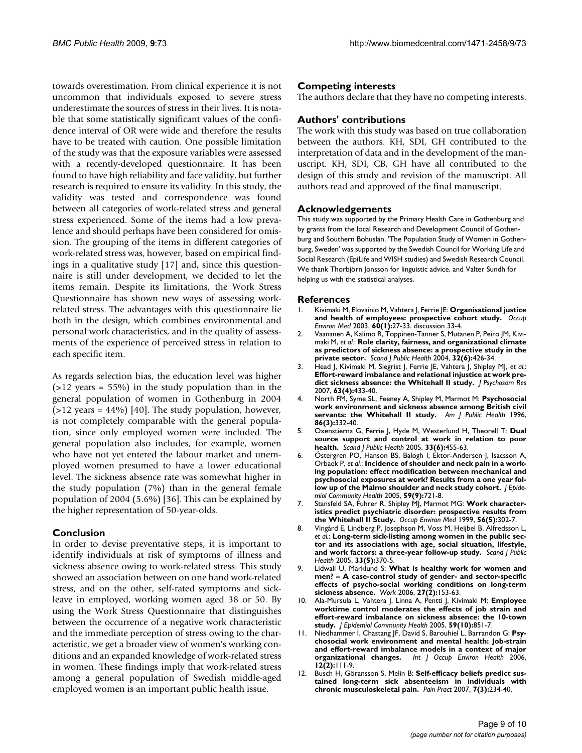towards overestimation. From clinical experience it is not uncommon that individuals exposed to severe stress underestimate the sources of stress in their lives. It is notable that some statistically significant values of the confidence interval of OR were wide and therefore the results have to be treated with caution. One possible limitation of the study was that the exposure variables were assessed with a recently-developed questionnaire. It has been found to have high reliability and face validity, but further research is required to ensure its validity. In this study, the validity was tested and correspondence was found between all categories of work-related stress and general stress experienced. Some of the items had a low prevalence and should perhaps have been considered for omission. The grouping of the items in different categories of work-related stress was, however, based on empirical findings in a qualitative study [17] and, since this questionnaire is still under development, we decided to let the items remain. Despite its limitations, the Work Stress Questionnaire has shown new ways of assessing workrelated stress. The advantages with this questionnaire lie both in the design, which combines environmental and personal work characteristics, and in the quality of assessments of the experience of perceived stress in relation to each specific item.

As regards selection bias, the education level was higher  $(>12$  years = 55%) in the study population than in the general population of women in Gothenburg in 2004  $(>12$  years = 44%) [40]. The study population, however, is not completely comparable with the general population, since only employed women were included. The general population also includes, for example, women who have not yet entered the labour market and unemployed women presumed to have a lower educational level. The sickness absence rate was somewhat higher in the study population (7%) than in the general female population of 2004 (5.6%) [36]. This can be explained by the higher representation of 50-year-olds.

# **Conclusion**

In order to devise preventative steps, it is important to identify individuals at risk of symptoms of illness and sickness absence owing to work-related stress. This study showed an association between on one hand work-related stress, and on the other, self-rated symptoms and sickleave in employed, working women aged 38 or 50. By using the Work Stress Questionnaire that distinguishes between the occurrence of a negative work characteristic and the immediate perception of stress owing to the characteristic, we get a broader view of women's working conditions and an expanded knowledge of work-related stress in women. These findings imply that work-related stress among a general population of Swedish middle-aged employed women is an important public health issue.

# **Competing interests**

The authors declare that they have no competing interests.

# **Authors' contributions**

The work with this study was based on true collaboration between the authors. KH, SDI, GH contributed to the interpretation of data and in the development of the manuscript. KH, SDI, CB, GH have all contributed to the design of this study and revision of the manuscript. All authors read and approved of the final manuscript.

# **Acknowledgements**

This study was supported by the Primary Health Care in Gothenburg and by grants from the local Research and Development Council of Gothenburg and Southern Bohuslän. 'The Population Study of Women in Gothenburg, Sweden' was supported by the Swedish Council for Working Life and Social Research (EpiLife and WISH studies) and Swedish Research Council. We thank Thorbjörn Jonsson for linguistic advice, and Valter Sundh for helping us with the statistical analyses.

# **References**

- 1. Kivimaki M, Elovainio M, Vahtera J, Ferrie JE: **[Organisational justice](http://www.ncbi.nlm.nih.gov/entrez/query.fcgi?cmd=Retrieve&db=PubMed&dopt=Abstract&list_uids=12499453) [and health of employees: prospective cohort study.](http://www.ncbi.nlm.nih.gov/entrez/query.fcgi?cmd=Retrieve&db=PubMed&dopt=Abstract&list_uids=12499453)** *Occup Environ Med* 2003, **60(1):**27-33. discussion 33-4.
- 2. Vaananen A, Kalimo R, Toppinen-Tanner S, Mutanen P, Peiro JM, Kivimaki M, *et al.*: **[Role clarity, fairness, and organizational climate](http://www.ncbi.nlm.nih.gov/entrez/query.fcgi?cmd=Retrieve&db=PubMed&dopt=Abstract&list_uids=15762027) [as predictors of sickness absence: a prospective study in the](http://www.ncbi.nlm.nih.gov/entrez/query.fcgi?cmd=Retrieve&db=PubMed&dopt=Abstract&list_uids=15762027) [private sector.](http://www.ncbi.nlm.nih.gov/entrez/query.fcgi?cmd=Retrieve&db=PubMed&dopt=Abstract&list_uids=15762027)** *Scand J Public Health* 2004, **32(6):**426-34.
- 3. Head J, Kivimaki M, Siegrist J, Ferrie JE, Vahtera J, Shipley MJ, *et al.*: **[Effort-reward imbalance and relational injustice at work pre](http://www.ncbi.nlm.nih.gov/entrez/query.fcgi?cmd=Retrieve&db=PubMed&dopt=Abstract&list_uids=17905053)[dict sickness absence: the Whitehall II study.](http://www.ncbi.nlm.nih.gov/entrez/query.fcgi?cmd=Retrieve&db=PubMed&dopt=Abstract&list_uids=17905053)** *J Psychosom Res* 2007, **63(4):**433-40.
- 4. North FM, Syme SL, Feeney A, Shipley M, Marmot M: **[Psychosocial](http://www.ncbi.nlm.nih.gov/entrez/query.fcgi?cmd=Retrieve&db=PubMed&dopt=Abstract&list_uids=8604757) [work environment and sickness absence among British civil](http://www.ncbi.nlm.nih.gov/entrez/query.fcgi?cmd=Retrieve&db=PubMed&dopt=Abstract&list_uids=8604757) [servants: the Whitehall II study.](http://www.ncbi.nlm.nih.gov/entrez/query.fcgi?cmd=Retrieve&db=PubMed&dopt=Abstract&list_uids=8604757)** *Am J Public Health* 1996, **86(3):**332-40.
- 5. Oxenstierna G, Ferrie J, Hyde M, Westerlund H, Theorell T: **[Dual](http://www.ncbi.nlm.nih.gov/entrez/query.fcgi?cmd=Retrieve&db=PubMed&dopt=Abstract&list_uids=16332610) [source support and control at work in relation to poor](http://www.ncbi.nlm.nih.gov/entrez/query.fcgi?cmd=Retrieve&db=PubMed&dopt=Abstract&list_uids=16332610) [health.](http://www.ncbi.nlm.nih.gov/entrez/query.fcgi?cmd=Retrieve&db=PubMed&dopt=Abstract&list_uids=16332610)** *Scand J Public Health* 2005, **33(6):**455-63.
- 6. Östergren PO, Hanson BS, Balogh I, Ektor-Andersen J, Isacsson A, Orbaek P, *et al.*: **[Incidence of shoulder and neck pain in a work](http://www.ncbi.nlm.nih.gov/entrez/query.fcgi?cmd=Retrieve&db=PubMed&dopt=Abstract&list_uids=16100307)ing population: effect modification between mechanical and [psychosocial exposures at work? Results from a one year fol](http://www.ncbi.nlm.nih.gov/entrez/query.fcgi?cmd=Retrieve&db=PubMed&dopt=Abstract&list_uids=16100307)[low up of the Malmo shoulder and neck study cohort.](http://www.ncbi.nlm.nih.gov/entrez/query.fcgi?cmd=Retrieve&db=PubMed&dopt=Abstract&list_uids=16100307)** *J Epidemiol Community Health* 2005, **59(9):**721-8.
- 7. Stansfeld SA, Fuhrer R, Shipley MJ, Marmot MG: **[Work character](http://www.ncbi.nlm.nih.gov/entrez/query.fcgi?cmd=Retrieve&db=PubMed&dopt=Abstract&list_uids=10472303)[istics predict psychiatric disorder: prospective results from](http://www.ncbi.nlm.nih.gov/entrez/query.fcgi?cmd=Retrieve&db=PubMed&dopt=Abstract&list_uids=10472303) [the Whitehall II Study.](http://www.ncbi.nlm.nih.gov/entrez/query.fcgi?cmd=Retrieve&db=PubMed&dopt=Abstract&list_uids=10472303)** *Occup Environ Med* 1999, **56(5):**302-7.
- 8. Vingård E, Lindberg P, Josephson M, Voss M, Heijbel B, Alfredsson L, *et al.*: **[Long-term sick-listing among women in the public sec](http://www.ncbi.nlm.nih.gov/entrez/query.fcgi?cmd=Retrieve&db=PubMed&dopt=Abstract&list_uids=16265806)[tor and its associations with age, social situation, lifestyle,](http://www.ncbi.nlm.nih.gov/entrez/query.fcgi?cmd=Retrieve&db=PubMed&dopt=Abstract&list_uids=16265806) [and work factors: a three-year follow-up study.](http://www.ncbi.nlm.nih.gov/entrez/query.fcgi?cmd=Retrieve&db=PubMed&dopt=Abstract&list_uids=16265806)** *Scand J Public Health* 2005, **33(5):**370-5.
- 9. Lidwall U, Marklund S: **[What is healthy work for women and](http://www.ncbi.nlm.nih.gov/entrez/query.fcgi?cmd=Retrieve&db=PubMed&dopt=Abstract&list_uids=16971762) [men? – A case-control study of gender- and sector-specific](http://www.ncbi.nlm.nih.gov/entrez/query.fcgi?cmd=Retrieve&db=PubMed&dopt=Abstract&list_uids=16971762) effects of psycho-social working conditions on long-term [sickness absence.](http://www.ncbi.nlm.nih.gov/entrez/query.fcgi?cmd=Retrieve&db=PubMed&dopt=Abstract&list_uids=16971762)** *Work* 2006, **27(2):**153-63.
- 10. Ala-Mursula L, Vahtera J, Linna A, Pentti J, Kivimaki M: **[Employee](http://www.ncbi.nlm.nih.gov/entrez/query.fcgi?cmd=Retrieve&db=PubMed&dopt=Abstract&list_uids=16166358) worktime control moderates the effects of job strain and [effort-reward imbalance on sickness absence: the 10-town](http://www.ncbi.nlm.nih.gov/entrez/query.fcgi?cmd=Retrieve&db=PubMed&dopt=Abstract&list_uids=16166358) [study.](http://www.ncbi.nlm.nih.gov/entrez/query.fcgi?cmd=Retrieve&db=PubMed&dopt=Abstract&list_uids=16166358)** *J Epidemiol Community Health* 2005, **59(10):**851-7.
- 11. Niedhammer I, Chastang JF, David S, Barouhiel L, Barrandon G: **[Psy](http://www.ncbi.nlm.nih.gov/entrez/query.fcgi?cmd=Retrieve&db=PubMed&dopt=Abstract&list_uids=16722190)chosocial work environment and mental health: Job-strain [and effort-reward imbalance models in a context of major](http://www.ncbi.nlm.nih.gov/entrez/query.fcgi?cmd=Retrieve&db=PubMed&dopt=Abstract&list_uids=16722190) [organizational changes.](http://www.ncbi.nlm.nih.gov/entrez/query.fcgi?cmd=Retrieve&db=PubMed&dopt=Abstract&list_uids=16722190)** *Int J Occup Environ Health* 2006, **12(2):**111-9.
- 12. Busch H, Göransson S, Melin B: **[Self-efficacy beliefs predict sus](http://www.ncbi.nlm.nih.gov/entrez/query.fcgi?cmd=Retrieve&db=PubMed&dopt=Abstract&list_uids=17714102)[tained long-term sick absenteeism in individuals with](http://www.ncbi.nlm.nih.gov/entrez/query.fcgi?cmd=Retrieve&db=PubMed&dopt=Abstract&list_uids=17714102) [chronic musculoskeletal pain.](http://www.ncbi.nlm.nih.gov/entrez/query.fcgi?cmd=Retrieve&db=PubMed&dopt=Abstract&list_uids=17714102)** *Pain Pract* 2007, **7(3):**234-40.